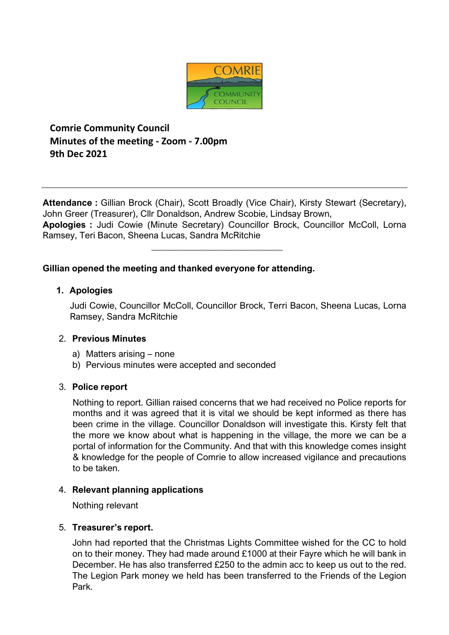

**Comrie Community Council Minutes of the meeting - Zoom - 7.00pm 9th Dec 2021**

**Attendance :** Gillian Brock (Chair), Scott Broadly (Vice Chair), Kirsty Stewart (Secretary), John Greer (Treasurer), Cllr Donaldson, Andrew Scobie, Lindsay Brown, **Apologies :** Judi Cowie (Minute Secretary) Councillor Brock, Councillor McColl, Lorna

\_\_\_\_\_\_\_\_\_\_\_\_\_\_\_\_\_\_\_\_\_\_\_\_\_\_\_\_\_

Ramsey, Teri Bacon, Sheena Lucas, Sandra McRitchie

### **Gillian opened the meeting and thanked everyone for attending.**

### **1. Apologies**

Judi Cowie, Councillor McColl, Councillor Brock, Terri Bacon, Sheena Lucas, Lorna Ramsey, Sandra McRitchie

#### 2. **Previous Minutes**

- a) Matters arising none
- b) Pervious minutes were accepted and seconded

# 3. **Police report**

Nothing to report. Gillian raised concerns that we had received no Police reports for months and it was agreed that it is vital we should be kept informed as there has been crime in the village. Councillor Donaldson will investigate this. Kirsty felt that the more we know about what is happening in the village, the more we can be a portal of information for the Community. And that with this knowledge comes insight & knowledge for the people of Comrie to allow increased vigilance and precautions to be taken.

# 4. **Relevant planning applications**

Nothing relevant

#### 5. **Treasurer's report.**

John had reported that the Christmas Lights Committee wished for the CC to hold on to their money. They had made around £1000 at their Fayre which he will bank in December. He has also transferred £250 to the admin acc to keep us out to the red. The Legion Park money we held has been transferred to the Friends of the Legion Park.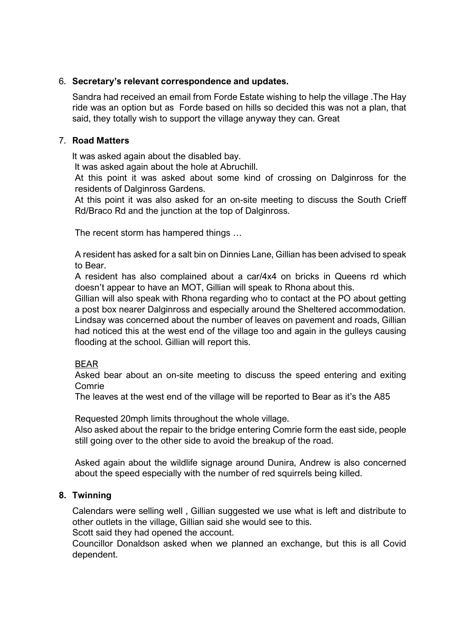#### 6. **Secretary's relevant correspondence and updates.**

Sandra had received an email from Forde Estate wishing to help the village .The Hay ride was an option but as Forde based on hills so decided this was not a plan, that said, they totally wish to support the village anyway they can. Great

### 7. **Road Matters**

It was asked again about the disabled bay.

It was asked again about the hole at Abruchill.

At this point it was asked about some kind of crossing on Dalginross for the residents of Dalginross Gardens.

At this point it was also asked for an on-site meeting to discuss the South Crieff Rd/Braco Rd and the junction at the top of Dalginross.

The recent storm has hampered things …

A resident has asked for a salt bin on Dinnies Lane, Gillian has been advised to speak to Bear.

A resident has also complained about a car/4x4 on bricks in Queens rd which doesn't appear to have an MOT, Gillian will speak to Rhona about this.

Gillian will also speak with Rhona regarding who to contact at the PO about getting a post box nearer Dalginross and especially around the Sheltered accommodation.

Lindsay was concerned about the number of leaves on pavement and roads, Gillian had noticed this at the west end of the village too and again in the gulleys causing flooding at the school. Gillian will report this.

# BEAR

Asked bear about an on-site meeting to discuss the speed entering and exiting Comrie

The leaves at the west end of the village will be reported to Bear as it's the A85

Requested 20mph limits throughout the whole village.

Also asked about the repair to the bridge entering Comrie form the east side, people still going over to the other side to avoid the breakup of the road.

Asked again about the wildlife signage around Dunira, Andrew is also concerned about the speed especially with the number of red squirrels being killed.

# **8. Twinning**

Calendars were selling well , Gillian suggested we use what is left and distribute to other outlets in the village, Gillian said she would see to this.

Scott said they had opened the account.

Councillor Donaldson asked when we planned an exchange, but this is all Covid dependent.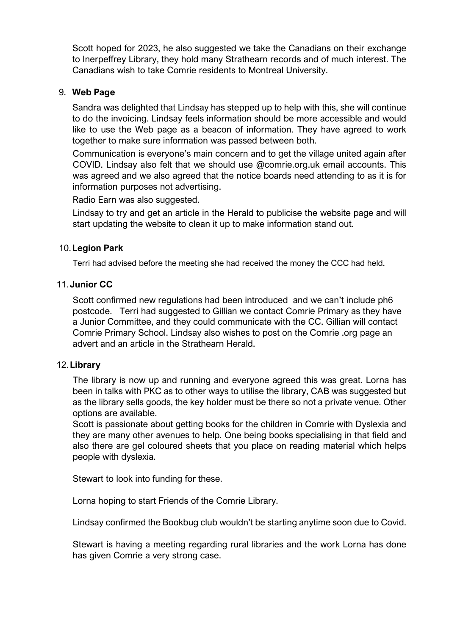Scott hoped for 2023, he also suggested we take the Canadians on their exchange to Inerpeffrey Library, they hold many Strathearn records and of much interest. The Canadians wish to take Comrie residents to Montreal University.

## 9. **Web Page**

Sandra was delighted that Lindsay has stepped up to help with this, she will continue to do the invoicing. Lindsay feels information should be more accessible and would like to use the Web page as a beacon of information. They have agreed to work together to make sure information was passed between both.

Communication is everyone's main concern and to get the village united again after COVID. Lindsay also felt that we should use @comrie.org.uk email accounts. This was agreed and we also agreed that the notice boards need attending to as it is for information purposes not advertising.

Radio Earn was also suggested.

Lindsay to try and get an article in the Herald to publicise the website page and will start updating the website to clean it up to make information stand out.

### 10.**Legion Park**

Terri had advised before the meeting she had received the money the CCC had held.

### 11.**Junior CC**

Scott confirmed new regulations had been introduced and we can't include ph6 postcode. Terri had suggested to Gillian we contact Comrie Primary as they have a Junior Committee, and they could communicate with the CC. Gillian will contact Comrie Primary School. Lindsay also wishes to post on the Comrie .org page an advert and an article in the Strathearn Herald.

#### 12.**Library**

The library is now up and running and everyone agreed this was great. Lorna has been in talks with PKC as to other ways to utilise the library, CAB was suggested but as the library sells goods, the key holder must be there so not a private venue. Other options are available.

Scott is passionate about getting books for the children in Comrie with Dyslexia and they are many other avenues to help. One being books specialising in that field and also there are gel coloured sheets that you place on reading material which helps people with dyslexia.

Stewart to look into funding for these.

Lorna hoping to start Friends of the Comrie Library.

Lindsay confirmed the Bookbug club wouldn't be starting anytime soon due to Covid.

Stewart is having a meeting regarding rural libraries and the work Lorna has done has given Comrie a very strong case.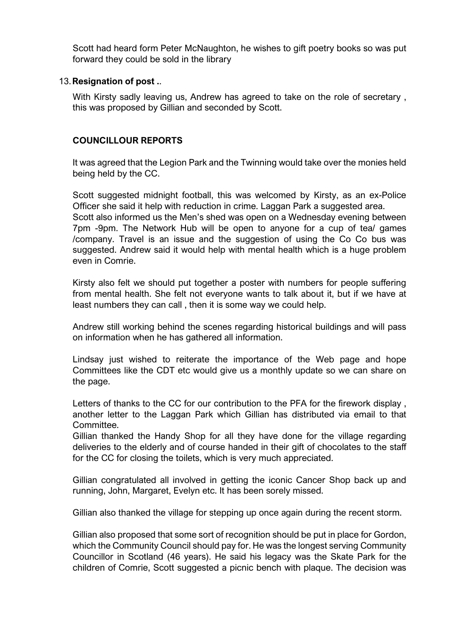Scott had heard form Peter McNaughton, he wishes to gift poetry books so was put forward they could be sold in the library

#### 13.**Resignation of post .**.

With Kirsty sadly leaving us, Andrew has agreed to take on the role of secretary , this was proposed by Gillian and seconded by Scott.

# **COUNCILLOUR REPORTS**

It was agreed that the Legion Park and the Twinning would take over the monies held being held by the CC.

Scott suggested midnight football, this was welcomed by Kirsty, as an ex-Police Officer she said it help with reduction in crime. Laggan Park a suggested area. Scott also informed us the Men's shed was open on a Wednesday evening between 7pm -9pm. The Network Hub will be open to anyone for a cup of tea/ games /company. Travel is an issue and the suggestion of using the Co Co bus was suggested. Andrew said it would help with mental health which is a huge problem even in Comrie.

Kirsty also felt we should put together a poster with numbers for people suffering from mental health. She felt not everyone wants to talk about it, but if we have at least numbers they can call , then it is some way we could help.

Andrew still working behind the scenes regarding historical buildings and will pass on information when he has gathered all information.

Lindsay just wished to reiterate the importance of the Web page and hope Committees like the CDT etc would give us a monthly update so we can share on the page.

Letters of thanks to the CC for our contribution to the PFA for the firework display , another letter to the Laggan Park which Gillian has distributed via email to that Committee.

Gillian thanked the Handy Shop for all they have done for the village regarding deliveries to the elderly and of course handed in their gift of chocolates to the staff for the CC for closing the toilets, which is very much appreciated.

Gillian congratulated all involved in getting the iconic Cancer Shop back up and running, John, Margaret, Evelyn etc. It has been sorely missed.

Gillian also thanked the village for stepping up once again during the recent storm.

Gillian also proposed that some sort of recognition should be put in place for Gordon, which the Community Council should pay for. He was the longest serving Community Councillor in Scotland (46 years). He said his legacy was the Skate Park for the children of Comrie, Scott suggested a picnic bench with plaque. The decision was